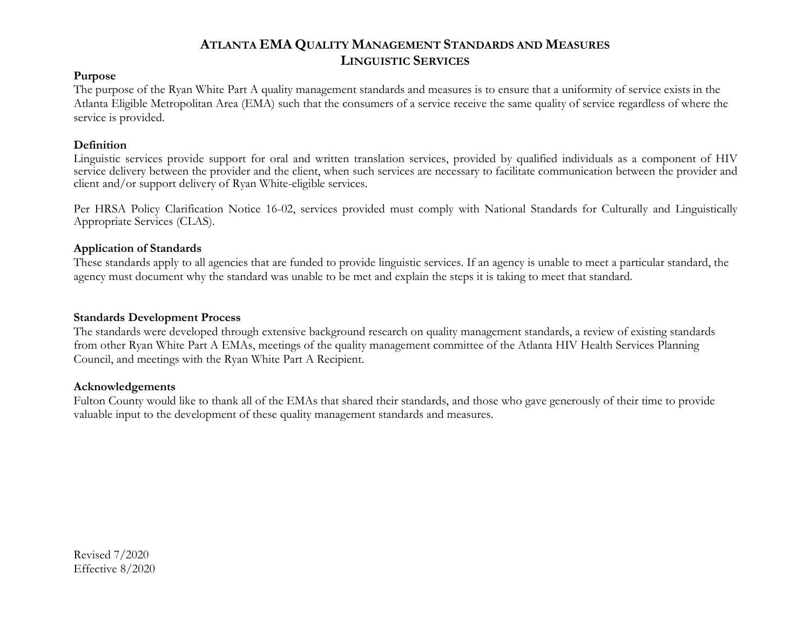### **Purpose**

The purpose of the Ryan White Part A quality management standards and measures is to ensure that a uniformity of service exists in the Atlanta Eligible Metropolitan Area (EMA) such that the consumers of a service receive the same quality of service regardless of where the service is provided.

### **Definition**

Linguistic services provide support for oral and written translation services, provided by qualified individuals as a component of HIV service delivery between the provider and the client, when such services are necessary to facilitate communication between the provider and client and/or support delivery of Ryan White-eligible services.

Per HRSA Policy Clarification Notice 16-02, services provided must comply with National Standards for Culturally and Linguistically Appropriate Services (CLAS).

### **Application of Standards**

These standards apply to all agencies that are funded to provide linguistic services. If an agency is unable to meet a particular standard, the agency must document why the standard was unable to be met and explain the steps it is taking to meet that standard.

#### **Standards Development Process**

The standards were developed through extensive background research on quality management standards, a review of existing standards from other Ryan White Part A EMAs, meetings of the quality management committee of the Atlanta HIV Health Services Planning Council, and meetings with the Ryan White Part A Recipient.

#### **Acknowledgements**

Fulton County would like to thank all of the EMAs that shared their standards, and those who gave generously of their time to provide valuable input to the development of these quality management standards and measures.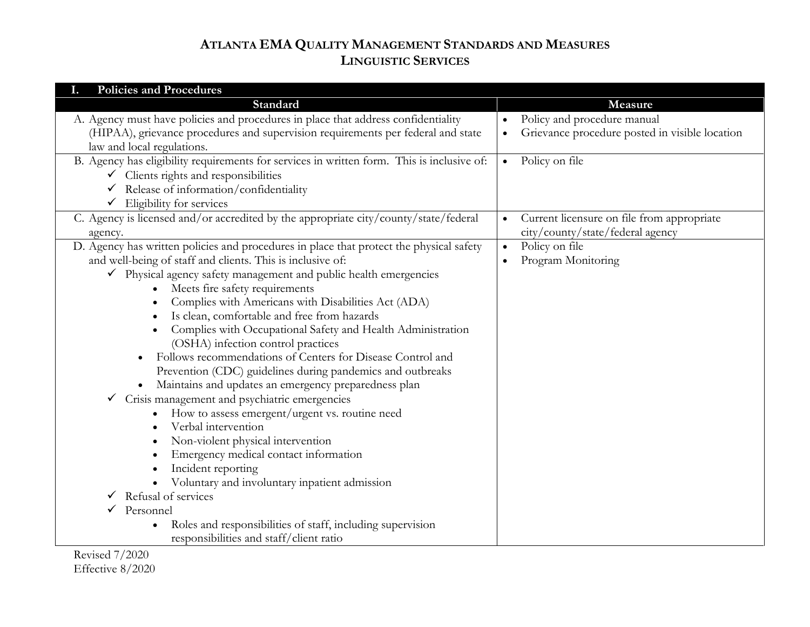| <b>Policies and Procedures</b><br>I.                                                                                                                                                                                                                                                                                                                                                                                                                                                                                                                                                                                                                                                                                                                                                                                                                                                                                                                                                                                                                                                                               |                                                                                            |
|--------------------------------------------------------------------------------------------------------------------------------------------------------------------------------------------------------------------------------------------------------------------------------------------------------------------------------------------------------------------------------------------------------------------------------------------------------------------------------------------------------------------------------------------------------------------------------------------------------------------------------------------------------------------------------------------------------------------------------------------------------------------------------------------------------------------------------------------------------------------------------------------------------------------------------------------------------------------------------------------------------------------------------------------------------------------------------------------------------------------|--------------------------------------------------------------------------------------------|
| Standard                                                                                                                                                                                                                                                                                                                                                                                                                                                                                                                                                                                                                                                                                                                                                                                                                                                                                                                                                                                                                                                                                                           | Measure                                                                                    |
| A. Agency must have policies and procedures in place that address confidentiality<br>(HIPAA), grievance procedures and supervision requirements per federal and state<br>law and local regulations.                                                                                                                                                                                                                                                                                                                                                                                                                                                                                                                                                                                                                                                                                                                                                                                                                                                                                                                | Policy and procedure manual<br>Grievance procedure posted in visible location<br>$\bullet$ |
| B. Agency has eligibility requirements for services in written form. This is inclusive of:<br>$\checkmark$ Clients rights and responsibilities<br>Release of information/confidentiality<br>✓<br>Eligibility for services                                                                                                                                                                                                                                                                                                                                                                                                                                                                                                                                                                                                                                                                                                                                                                                                                                                                                          | Policy on file<br>$\bullet$                                                                |
| C. Agency is licensed and/or accredited by the appropriate city/county/state/federal<br>agency.                                                                                                                                                                                                                                                                                                                                                                                                                                                                                                                                                                                                                                                                                                                                                                                                                                                                                                                                                                                                                    | Current licensure on file from appropriate<br>city/county/state/federal agency             |
| D. Agency has written policies and procedures in place that protect the physical safety<br>and well-being of staff and clients. This is inclusive of:<br>$\checkmark$ Physical agency safety management and public health emergencies<br>Meets fire safety requirements<br>Complies with Americans with Disabilities Act (ADA)<br>Is clean, comfortable and free from hazards<br>Complies with Occupational Safety and Health Administration<br>(OSHA) infection control practices<br>Follows recommendations of Centers for Disease Control and<br>Prevention (CDC) guidelines during pandemics and outbreaks<br>Maintains and updates an emergency preparedness plan<br>Crisis management and psychiatric emergencies<br>$\checkmark$<br>How to assess emergent/urgent vs. routine need<br>Verbal intervention<br>Non-violent physical intervention<br>Emergency medical contact information<br>Incident reporting<br>Voluntary and involuntary inpatient admission<br>Refusal of services<br>Personnel<br>Roles and responsibilities of staff, including supervision<br>responsibilities and staff/client ratio | Policy on file<br>$\bullet$<br>Program Monitoring<br>$\bullet$                             |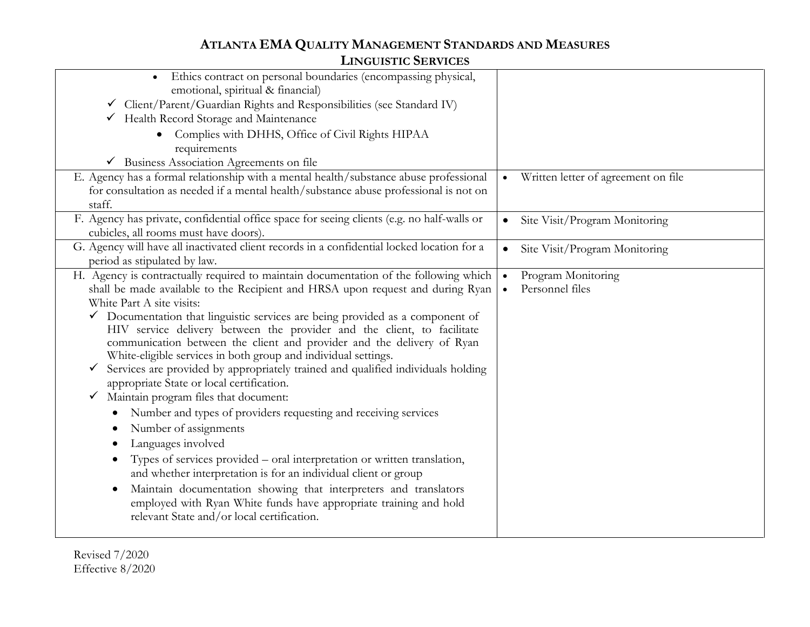| Ethics contract on personal boundaries (encompassing physical,<br>emotional, spiritual & financial)<br>√ Client/Parent/Guardian Rights and Responsibilities (see Standard IV)<br>Health Record Storage and Maintenance<br>$\checkmark$<br>Complies with DHHS, Office of Civil Rights HIPAA<br>requirements<br>$\checkmark$ Business Association Agreements on file                                                                                                                                                                                                                                                                                                                                                                                                                                                                                                                                                                                                                                                                                                                                                                                                                       |                                                    |
|------------------------------------------------------------------------------------------------------------------------------------------------------------------------------------------------------------------------------------------------------------------------------------------------------------------------------------------------------------------------------------------------------------------------------------------------------------------------------------------------------------------------------------------------------------------------------------------------------------------------------------------------------------------------------------------------------------------------------------------------------------------------------------------------------------------------------------------------------------------------------------------------------------------------------------------------------------------------------------------------------------------------------------------------------------------------------------------------------------------------------------------------------------------------------------------|----------------------------------------------------|
| E. Agency has a formal relationship with a mental health/substance abuse professional<br>for consultation as needed if a mental health/substance abuse professional is not on<br>staff.                                                                                                                                                                                                                                                                                                                                                                                                                                                                                                                                                                                                                                                                                                                                                                                                                                                                                                                                                                                                  | Written letter of agreement on file<br>$\bullet$   |
| F. Agency has private, confidential office space for seeing clients (e.g. no half-walls or<br>cubicles, all rooms must have doors).                                                                                                                                                                                                                                                                                                                                                                                                                                                                                                                                                                                                                                                                                                                                                                                                                                                                                                                                                                                                                                                      | Site Visit/Program Monitoring<br>$\bullet$         |
| G. Agency will have all inactivated client records in a confidential locked location for a<br>period as stipulated by law.                                                                                                                                                                                                                                                                                                                                                                                                                                                                                                                                                                                                                                                                                                                                                                                                                                                                                                                                                                                                                                                               | Site Visit/Program Monitoring<br>$\bullet$         |
| H. Agency is contractually required to maintain documentation of the following which<br>shall be made available to the Recipient and HRSA upon request and during Ryan<br>White Part A site visits:<br>$\checkmark$ Documentation that linguistic services are being provided as a component of<br>HIV service delivery between the provider and the client, to facilitate<br>communication between the client and provider and the delivery of Ryan<br>White-eligible services in both group and individual settings.<br>Services are provided by appropriately trained and qualified individuals holding<br>$\checkmark$<br>appropriate State or local certification.<br>Maintain program files that document:<br>$\checkmark$<br>Number and types of providers requesting and receiving services<br>Number of assignments<br>Languages involved<br>Types of services provided – oral interpretation or written translation,<br>and whether interpretation is for an individual client or group<br>Maintain documentation showing that interpreters and translators<br>employed with Ryan White funds have appropriate training and hold<br>relevant State and/or local certification. | Program Monitoring<br>Personnel files<br>$\bullet$ |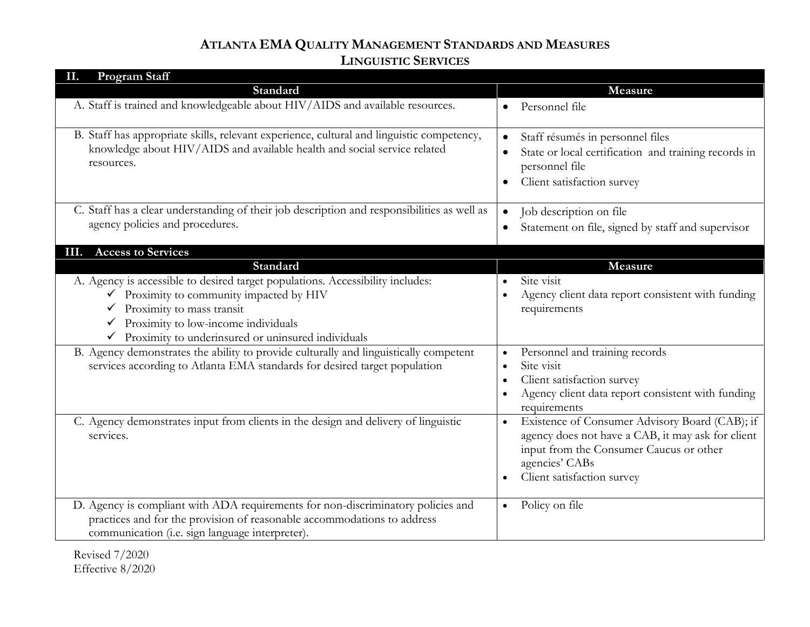| <b>Program Staff</b><br>Н.                                                                                                                                                                                                                                                                   |                                                                                                                                                                                                             |
|----------------------------------------------------------------------------------------------------------------------------------------------------------------------------------------------------------------------------------------------------------------------------------------------|-------------------------------------------------------------------------------------------------------------------------------------------------------------------------------------------------------------|
| Standard                                                                                                                                                                                                                                                                                     | Measure                                                                                                                                                                                                     |
| A. Staff is trained and knowledgeable about HIV/AIDS and available resources.                                                                                                                                                                                                                | Personnel file                                                                                                                                                                                              |
| B. Staff has appropriate skills, relevant experience, cultural and linguistic competency,<br>knowledge about HIV/AIDS and available health and social service related<br>resources.                                                                                                          | Staff résumés in personnel files<br>$\bullet$<br>State or local certification and training records in<br>personnel file<br>Client satisfaction survey<br>$\bullet$                                          |
| C. Staff has a clear understanding of their job description and responsibilities as well as<br>agency policies and procedures.                                                                                                                                                               | Job description on file<br>$\bullet$<br>Statement on file, signed by staff and supervisor                                                                                                                   |
| III. Access to Services                                                                                                                                                                                                                                                                      |                                                                                                                                                                                                             |
| Standard                                                                                                                                                                                                                                                                                     | Measure                                                                                                                                                                                                     |
| A. Agency is accessible to desired target populations. Accessibility includes:<br>$\checkmark$ Proximity to community impacted by HIV<br>$\checkmark$ Proximity to mass transit<br>Proximity to low-income individuals<br>$\checkmark$<br>Proximity to underinsured or uninsured individuals | Site visit<br>Agency client data report consistent with funding<br>$\bullet$<br>requirements                                                                                                                |
| B. Agency demonstrates the ability to provide culturally and linguistically competent<br>services according to Atlanta EMA standards for desired target population                                                                                                                           | Personnel and training records<br>$\bullet$<br>Site visit<br>$\bullet$<br>Client satisfaction survey<br>Agency client data report consistent with funding<br>requirements                                   |
| C. Agency demonstrates input from clients in the design and delivery of linguistic<br>services.                                                                                                                                                                                              | Existence of Consumer Advisory Board (CAB); if<br>$\bullet$<br>agency does not have a CAB, it may ask for client<br>input from the Consumer Caucus or other<br>agencies' CABs<br>Client satisfaction survey |
| D. Agency is compliant with ADA requirements for non-discriminatory policies and<br>practices and for the provision of reasonable accommodations to address<br>communication (i.e. sign language interpreter).                                                                               | Policy on file<br>$\bullet$                                                                                                                                                                                 |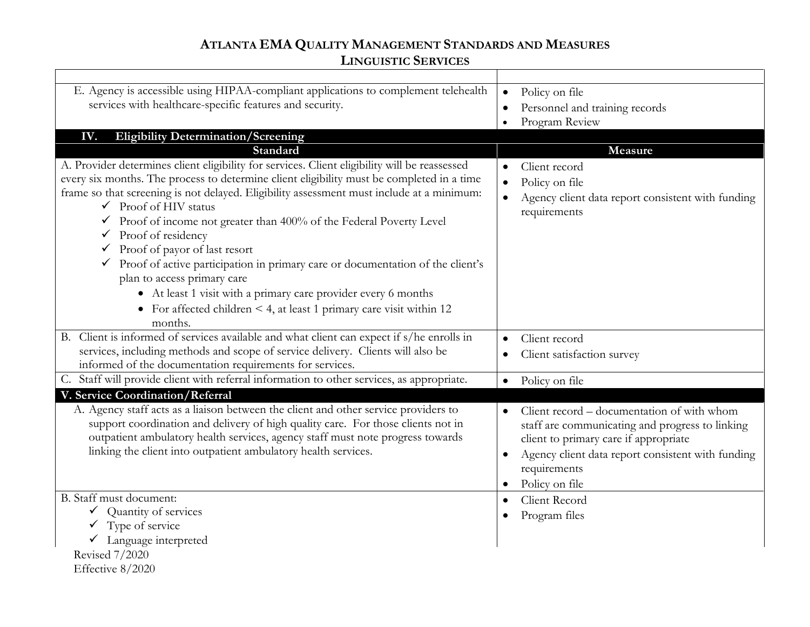| E. Agency is accessible using HIPAA-compliant applications to complement telehealth<br>services with healthcare-specific features and security.<br>IV.                                                                                                                                                                                                                                                                                                                                                                                                                                                                                                                                                                                                                                  | Policy on file<br>$\bullet$<br>Personnel and training records<br>$\bullet$<br>Program Review                                                                                                                                               |
|-----------------------------------------------------------------------------------------------------------------------------------------------------------------------------------------------------------------------------------------------------------------------------------------------------------------------------------------------------------------------------------------------------------------------------------------------------------------------------------------------------------------------------------------------------------------------------------------------------------------------------------------------------------------------------------------------------------------------------------------------------------------------------------------|--------------------------------------------------------------------------------------------------------------------------------------------------------------------------------------------------------------------------------------------|
| <b>Eligibility Determination/Screening</b>                                                                                                                                                                                                                                                                                                                                                                                                                                                                                                                                                                                                                                                                                                                                              |                                                                                                                                                                                                                                            |
| Standard<br>A. Provider determines client eligibility for services. Client eligibility will be reassessed<br>every six months. The process to determine client eligibility must be completed in a time<br>frame so that screening is not delayed. Eligibility assessment must include at a minimum:<br>$\checkmark$ Proof of HIV status<br>$\checkmark$ Proof of income not greater than 400% of the Federal Poverty Level<br>$\checkmark$ Proof of residency<br>$\checkmark$ Proof of payor of last resort<br>Proof of active participation in primary care or documentation of the client's<br>plan to access primary care<br>• At least 1 visit with a primary care provider every 6 months<br>• For affected children $\leq 4$ , at least 1 primary care visit within 12<br>months. | Measure<br>Client record<br>Policy on file<br>$\bullet$<br>Agency client data report consistent with funding<br>requirements                                                                                                               |
| B. Client is informed of services available and what client can expect if s/he enrolls in                                                                                                                                                                                                                                                                                                                                                                                                                                                                                                                                                                                                                                                                                               | Client record<br>$\bullet$                                                                                                                                                                                                                 |
| services, including methods and scope of service delivery. Clients will also be<br>informed of the documentation requirements for services.                                                                                                                                                                                                                                                                                                                                                                                                                                                                                                                                                                                                                                             | Client satisfaction survey                                                                                                                                                                                                                 |
| C. Staff will provide client with referral information to other services, as appropriate.                                                                                                                                                                                                                                                                                                                                                                                                                                                                                                                                                                                                                                                                                               | Policy on file<br>$\bullet$                                                                                                                                                                                                                |
| V. Service Coordination/Referral                                                                                                                                                                                                                                                                                                                                                                                                                                                                                                                                                                                                                                                                                                                                                        |                                                                                                                                                                                                                                            |
| A. Agency staff acts as a liaison between the client and other service providers to<br>support coordination and delivery of high quality care. For those clients not in<br>outpatient ambulatory health services, agency staff must note progress towards<br>linking the client into outpatient ambulatory health services.                                                                                                                                                                                                                                                                                                                                                                                                                                                             | Client record – documentation of with whom<br>staff are communicating and progress to linking<br>client to primary care if appropriate<br>Agency client data report consistent with funding<br>$\bullet$<br>requirements<br>Policy on file |
| B. Staff must document:                                                                                                                                                                                                                                                                                                                                                                                                                                                                                                                                                                                                                                                                                                                                                                 | Client Record<br>$\bullet$                                                                                                                                                                                                                 |
| $\checkmark$ Quantity of services                                                                                                                                                                                                                                                                                                                                                                                                                                                                                                                                                                                                                                                                                                                                                       | Program files                                                                                                                                                                                                                              |
| Type of service                                                                                                                                                                                                                                                                                                                                                                                                                                                                                                                                                                                                                                                                                                                                                                         |                                                                                                                                                                                                                                            |
| $\checkmark$ Language interpreted                                                                                                                                                                                                                                                                                                                                                                                                                                                                                                                                                                                                                                                                                                                                                       |                                                                                                                                                                                                                                            |
| Revised 7/2020                                                                                                                                                                                                                                                                                                                                                                                                                                                                                                                                                                                                                                                                                                                                                                          |                                                                                                                                                                                                                                            |

Effective 8/2020